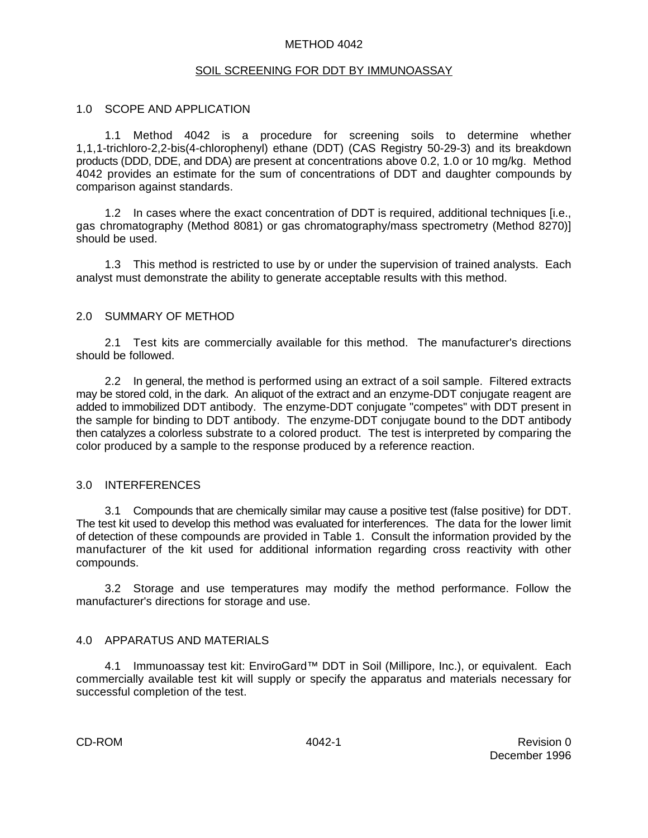### METHOD 4042

### SOIL SCREENING FOR DDT BY IMMUNOASSAY

### 1.0 SCOPE AND APPLICATION

1.1 Method 4042 is a procedure for screening soils to determine whether 1,1,1-trichloro-2,2-bis(4-chlorophenyl) ethane (DDT) (CAS Registry 50-29-3) and its breakdown products (DDD, DDE, and DDA) are present at concentrations above 0.2, 1.0 or 10 mg/kg. Method 4042 provides an estimate for the sum of concentrations of DDT and daughter compounds by comparison against standards.

1.2 In cases where the exact concentration of DDT is required, additional techniques [i.e., gas chromatography (Method 8081) or gas chromatography/mass spectrometry (Method 8270)] should be used.

1.3 This method is restricted to use by or under the supervision of trained analysts. Each analyst must demonstrate the ability to generate acceptable results with this method.

### 2.0 SUMMARY OF METHOD

2.1 Test kits are commercially available for this method. The manufacturer's directions should be followed.

2.2 In general, the method is performed using an extract of a soil sample. Filtered extracts may be stored cold, in the dark. An aliquot of the extract and an enzyme-DDT conjugate reagent are added to immobilized DDT antibody. The enzyme-DDT conjugate "competes" with DDT present in the sample for binding to DDT antibody. The enzyme-DDT conjugate bound to the DDT antibody then catalyzes a colorless substrate to a colored product. The test is interpreted by comparing the color produced by a sample to the response produced by a reference reaction.

#### 3.0 INTERFERENCES

3.1 Compounds that are chemically similar may cause a positive test (false positive) for DDT. The test kit used to develop this method was evaluated for interferences. The data for the lower limit of detection of these compounds are provided in Table 1. Consult the information provided by the manufacturer of the kit used for additional information regarding cross reactivity with other compounds.

3.2 Storage and use temperatures may modify the method performance. Follow the manufacturer's directions for storage and use.

### 4.0 APPARATUS AND MATERIALS

4.1 Immunoassay test kit: EnviroGard™ DDT in Soil (Millipore, Inc.), or equivalent. Each commercially available test kit will supply or specify the apparatus and materials necessary for successful completion of the test.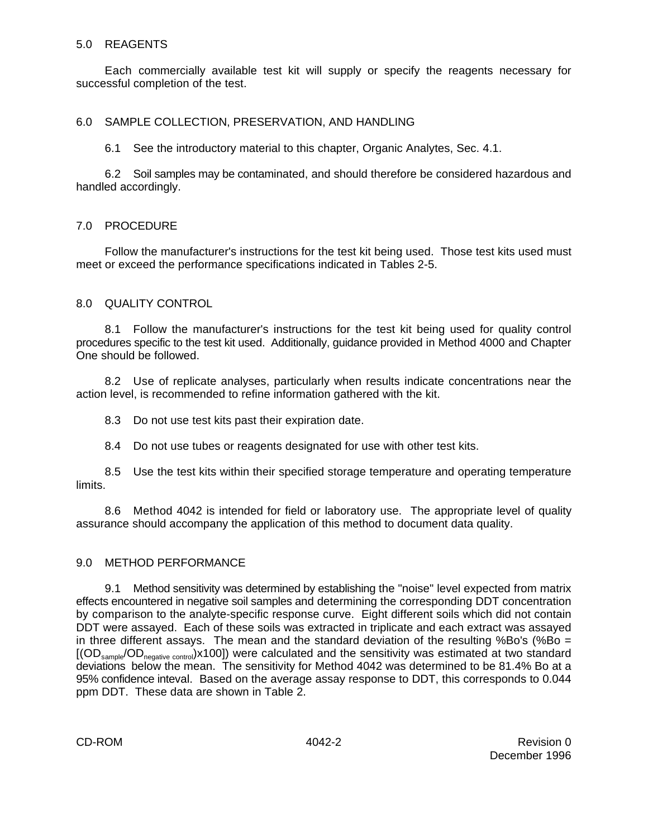### 5.0 REAGENTS

Each commercially available test kit will supply or specify the reagents necessary for successful completion of the test.

### 6.0 SAMPLE COLLECTION, PRESERVATION, AND HANDLING

6.1 See the introductory material to this chapter, Organic Analytes, Sec. 4.1.

6.2 Soil samples may be contaminated, and should therefore be considered hazardous and handled accordingly.

### 7.0 PROCEDURE

Follow the manufacturer's instructions for the test kit being used. Those test kits used must meet or exceed the performance specifications indicated in Tables 2-5.

### 8.0 QUALITY CONTROL

8.1 Follow the manufacturer's instructions for the test kit being used for quality control procedures specific to the test kit used. Additionally, guidance provided in Method 4000 and Chapter One should be followed.

8.2 Use of replicate analyses, particularly when results indicate concentrations near the action level, is recommended to refine information gathered with the kit.

8.3 Do not use test kits past their expiration date.

8.4 Do not use tubes or reagents designated for use with other test kits.

8.5 Use the test kits within their specified storage temperature and operating temperature limits.

8.6 Method 4042 is intended for field or laboratory use. The appropriate level of quality assurance should accompany the application of this method to document data quality.

### 9.0 METHOD PERFORMANCE

9.1 Method sensitivity was determined by establishing the "noise" level expected from matrix effects encountered in negative soil samples and determining the corresponding DDT concentration by comparison to the analyte-specific response curve. Eight different soils which did not contain DDT were assayed. Each of these soils was extracted in triplicate and each extract was assayed in three different assays. The mean and the standard deviation of the resulting %Bo's (%Bo =  $[ (OD_{\text{sample}}/OD_{\text{negative control}}) \times 100]$ ) were calculated and the sensitivity was estimated at two standard deviations below the mean. The sensitivity for Method 4042 was determined to be 81.4% Bo at a 95% confidence inteval. Based on the average assay response to DDT, this corresponds to 0.044 ppm DDT. These data are shown in Table 2.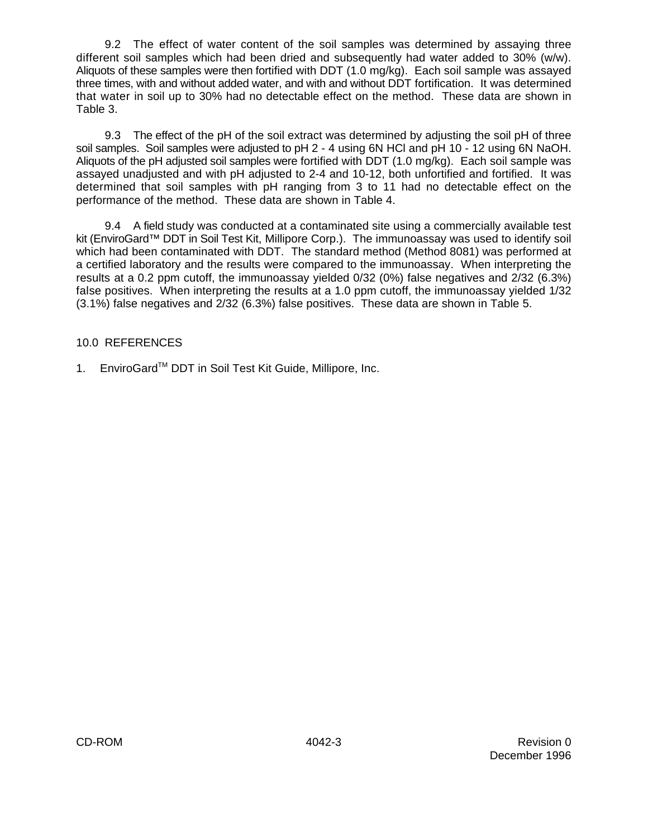9.2 The effect of water content of the soil samples was determined by assaying three different soil samples which had been dried and subsequently had water added to 30% (w/w). Aliquots of these samples were then fortified with DDT (1.0 mg/kg). Each soil sample was assayed three times, with and without added water, and with and without DDT fortification. It was determined that water in soil up to 30% had no detectable effect on the method. These data are shown in Table 3.

9.3 The effect of the pH of the soil extract was determined by adjusting the soil pH of three soil samples. Soil samples were adjusted to pH 2 - 4 using 6N HCl and pH 10 - 12 using 6N NaOH. Aliquots of the pH adjusted soil samples were fortified with DDT (1.0 mg/kg). Each soil sample was assayed unadjusted and with pH adjusted to 2-4 and 10-12, both unfortified and fortified. It was determined that soil samples with pH ranging from 3 to 11 had no detectable effect on the performance of the method. These data are shown in Table 4.

9.4 A field study was conducted at a contaminated site using a commercially available test kit (EnviroGard™ DDT in Soil Test Kit, Millipore Corp.). The immunoassay was used to identify soil which had been contaminated with DDT. The standard method (Method 8081) was performed at a certified laboratory and the results were compared to the immunoassay. When interpreting the results at a 0.2 ppm cutoff, the immunoassay yielded 0/32 (0%) false negatives and 2/32 (6.3%) false positives. When interpreting the results at a 1.0 ppm cutoff, the immunoassay yielded 1/32 (3.1%) false negatives and 2/32 (6.3%) false positives. These data are shown in Table 5.

### 10.0 REFERENCES

1. EnviroGard™ DDT in Soil Test Kit Guide, Millipore, Inc.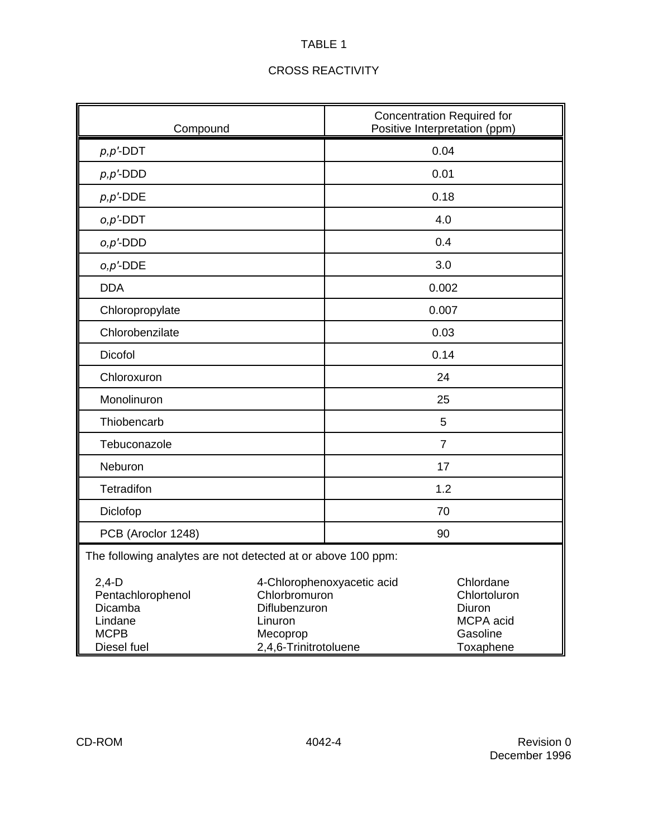| Compound                                                                         |                                                                                | <b>Concentration Required for</b><br>Positive Interpretation (ppm) |                                                                           |  |  |
|----------------------------------------------------------------------------------|--------------------------------------------------------------------------------|--------------------------------------------------------------------|---------------------------------------------------------------------------|--|--|
| $p, p'$ -DDT                                                                     |                                                                                | 0.04                                                               |                                                                           |  |  |
| $p, p'$ -DDD                                                                     |                                                                                | 0.01                                                               |                                                                           |  |  |
| $p, p'$ -DDE                                                                     |                                                                                | 0.18                                                               |                                                                           |  |  |
| $o, p'$ -DDT                                                                     |                                                                                | 4.0                                                                |                                                                           |  |  |
| $o, p'$ -DDD                                                                     |                                                                                | 0.4                                                                |                                                                           |  |  |
| $o, p'$ -DDE                                                                     |                                                                                | 3.0                                                                |                                                                           |  |  |
| <b>DDA</b>                                                                       |                                                                                | 0.002                                                              |                                                                           |  |  |
| Chloropropylate                                                                  |                                                                                | 0.007                                                              |                                                                           |  |  |
| Chlorobenzilate                                                                  |                                                                                | 0.03                                                               |                                                                           |  |  |
| Dicofol                                                                          |                                                                                | 0.14                                                               |                                                                           |  |  |
| Chloroxuron                                                                      |                                                                                | 24                                                                 |                                                                           |  |  |
| Monolinuron                                                                      |                                                                                | 25                                                                 |                                                                           |  |  |
| Thiobencarb                                                                      |                                                                                | 5                                                                  |                                                                           |  |  |
| Tebuconazole                                                                     |                                                                                | $\overline{7}$                                                     |                                                                           |  |  |
| Neburon                                                                          |                                                                                | 17                                                                 |                                                                           |  |  |
| Tetradifon                                                                       |                                                                                | 1.2                                                                |                                                                           |  |  |
| Diclofop                                                                         |                                                                                | 70                                                                 |                                                                           |  |  |
| PCB (Aroclor 1248)                                                               |                                                                                | 90                                                                 |                                                                           |  |  |
| The following analytes are not detected at or above 100 ppm:                     |                                                                                |                                                                    |                                                                           |  |  |
| $2,4-D$<br>Pentachlorophenol<br>Dicamba<br>Lindane<br><b>MCPB</b><br>Diesel fuel | Chlorbromuron<br>Diflubenzuron<br>Linuron<br>Mecoprop<br>2,4,6-Trinitrotoluene | 4-Chlorophenoxyacetic acid                                         | Chlordane<br>Chlortoluron<br>Diuron<br>MCPA acid<br>Gasoline<br>Toxaphene |  |  |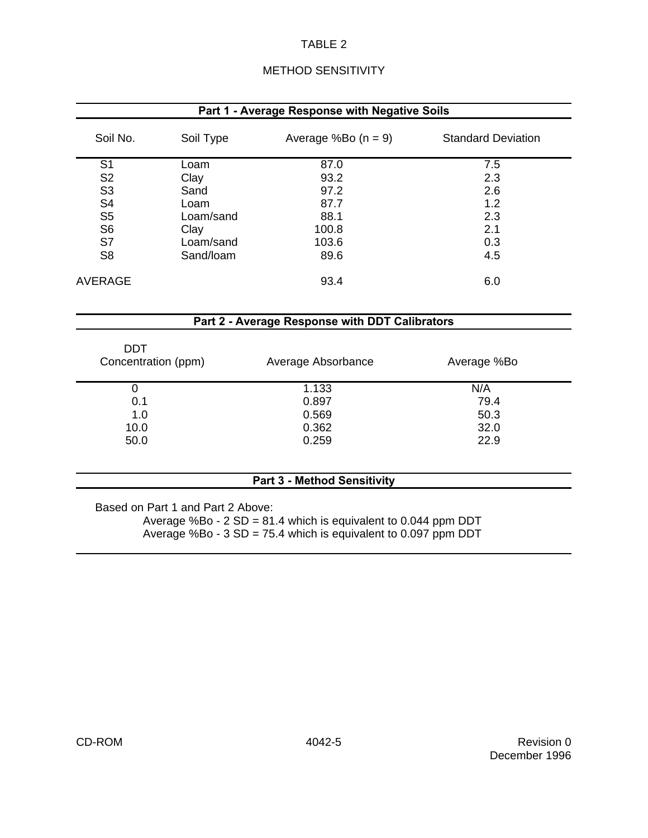|  | <b>METHOD SENSITIVITY</b> |  |
|--|---------------------------|--|
|  |                           |  |

| Part 1 - Average Response with Negative Soils |           |                       |                           |  |
|-----------------------------------------------|-----------|-----------------------|---------------------------|--|
| Soil No.                                      | Soil Type | Average %Bo $(n = 9)$ | <b>Standard Deviation</b> |  |
| S <sub>1</sub>                                | Loam      | 87.0                  | 7.5                       |  |
| S <sub>2</sub>                                | Clay      | 93.2                  | 2.3                       |  |
| S <sub>3</sub>                                | Sand      | 97.2                  | 2.6                       |  |
| S <sub>4</sub>                                | Loam      | 87.7                  | 1.2                       |  |
| S <sub>5</sub>                                | Loam/sand | 88.1                  | 2.3                       |  |
| S <sub>6</sub>                                | Clay      | 100.8                 | 2.1                       |  |
| S7                                            | Loam/sand | 103.6                 | 0.3                       |  |
| S <sub>8</sub>                                | Sand/Ioam | 89.6                  | 4.5                       |  |
| AVERAGE                                       |           | 93.4                  | 6.0                       |  |

### **Part 2 - Average Response with DDT Calibrators**

| <b>DDT</b>                         |                    |             |  |  |
|------------------------------------|--------------------|-------------|--|--|
| Concentration (ppm)                | Average Absorbance | Average %Bo |  |  |
| 0                                  | 1.133              | N/A         |  |  |
| 0.1                                | 0.897              | 79.4        |  |  |
| 1.0                                | 0.569              | 50.3        |  |  |
| 10.0                               | 0.362              | 32.0        |  |  |
| 50.0                               | 0.259              | 22.9        |  |  |
|                                    |                    |             |  |  |
| <b>Part 3 - Method Sensitivity</b> |                    |             |  |  |

Based on Part 1 and Part 2 Above: Average %Bo - 2 SD = 81.4 which is equivalent to 0.044 ppm DDT Average %Bo -  $3$  SD = 75.4 which is equivalent to 0.097 ppm DDT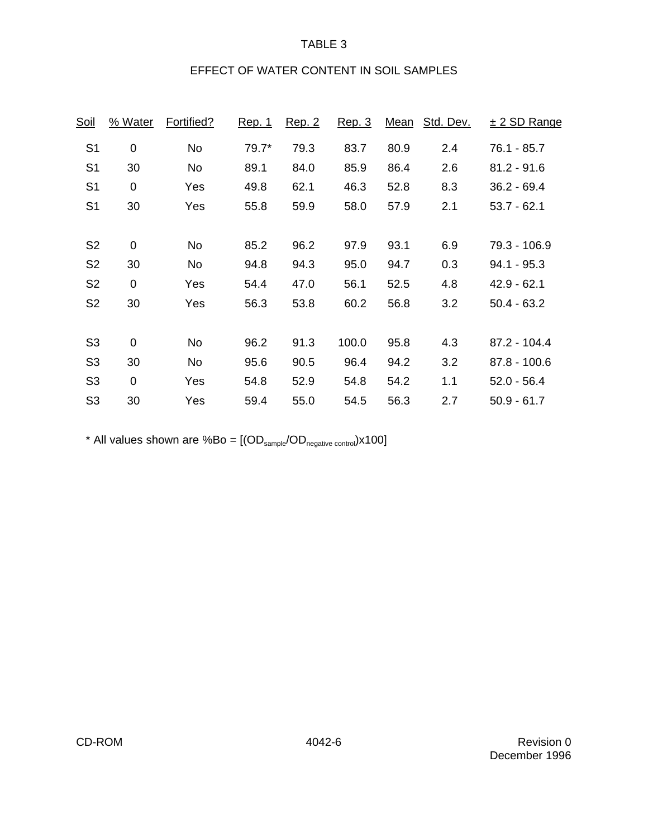## EFFECT OF WATER CONTENT IN SOIL SAMPLES

| % Water          | Fortified? | <u>Rep. 1</u> | <u>Rep. 2</u> | Rep. 3 |      | Std. Dev. | $± 2$ SD Range     |
|------------------|------------|---------------|---------------|--------|------|-----------|--------------------|
| 0                | No         | $79.7*$       | 79.3          | 83.7   | 80.9 | 2.4       | 76.1 - 85.7        |
| 30               | No         | 89.1          | 84.0          | 85.9   | 86.4 | 2.6       | $81.2 - 91.6$      |
| 0                | Yes        | 49.8          | 62.1          | 46.3   | 52.8 | 8.3       | $36.2 - 69.4$      |
| 30               | Yes        | 55.8          | 59.9          | 58.0   | 57.9 | 2.1       | $53.7 - 62.1$      |
|                  |            |               |               |        |      |           | 79.3 - 106.9       |
| 30               | No         | 94.8          | 94.3          | 95.0   | 94.7 | 0.3       | $94.1 - 95.3$      |
| $\boldsymbol{0}$ | Yes        | 54.4          | 47.0          | 56.1   | 52.5 | 4.8       | $42.9 - 62.1$      |
| 30               | Yes        | 56.3          | 53.8          | 60.2   | 56.8 | 3.2       | $50.4 - 63.2$      |
|                  |            |               |               |        |      |           |                    |
| 0                | No         | 96.2          | 91.3          | 100.0  | 95.8 | 4.3       | 87.2 - 104.4       |
| 30               | No         | 95.6          | 90.5          | 96.4   | 94.2 | 3.2       | $87.8 - 100.6$     |
| $\mathbf 0$      | Yes        | 54.8          | 52.9          | 54.8   | 54.2 | 1.1       | $52.0 - 56.4$      |
| 30               | Yes        | 59.4          | 55.0          | 54.5   | 56.3 | 2.7       | $50.9 - 61.7$      |
|                  | 0          | No            | 85.2          | 96.2   | 97.9 | 93.1      | <u>Mean</u><br>6.9 |

\* All values shown are  $%Bo = [(OD_{sample}/OD_{negative\ control})x100]$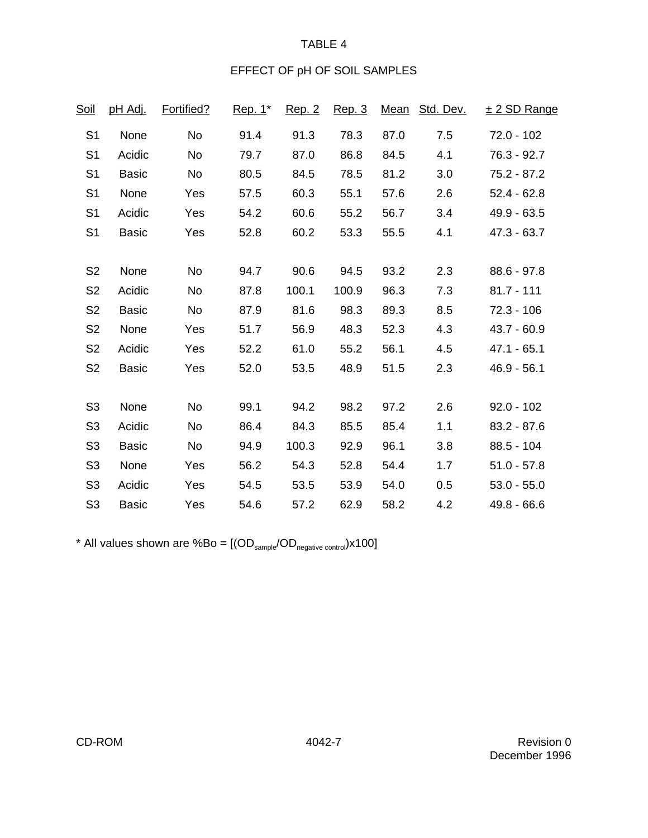## EFFECT OF pH OF SOIL SAMPLES

| <u>Soil</u>    | <u>pH Adj.</u> | Fortified? | Rep. 1* | <u>Rep. 2</u> | Rep. 3 |      | Mean Std. Dev. | <u>± 2 SD Range</u> |
|----------------|----------------|------------|---------|---------------|--------|------|----------------|---------------------|
| S <sub>1</sub> | None           | No         | 91.4    | 91.3          | 78.3   | 87.0 | 7.5            | $72.0 - 102$        |
| S <sub>1</sub> | Acidic         | No         | 79.7    | 87.0          | 86.8   | 84.5 | 4.1            | $76.3 - 92.7$       |
| S <sub>1</sub> | <b>Basic</b>   | No         | 80.5    | 84.5          | 78.5   | 81.2 | 3.0            | $75.2 - 87.2$       |
| S <sub>1</sub> | None           | Yes        | 57.5    | 60.3          | 55.1   | 57.6 | 2.6            | $52.4 - 62.8$       |
| S <sub>1</sub> | Acidic         | Yes        | 54.2    | 60.6          | 55.2   | 56.7 | 3.4            | $49.9 - 63.5$       |
| S <sub>1</sub> | <b>Basic</b>   | Yes        | 52.8    | 60.2          | 53.3   | 55.5 | 4.1            | $47.3 - 63.7$       |
|                |                |            |         |               |        |      |                |                     |
| S <sub>2</sub> | None           | <b>No</b>  | 94.7    | 90.6          | 94.5   | 93.2 | 2.3            | $88.6 - 97.8$       |
| S <sub>2</sub> | Acidic         | No         | 87.8    | 100.1         | 100.9  | 96.3 | 7.3            | $81.7 - 111$        |
| S <sub>2</sub> | <b>Basic</b>   | No         | 87.9    | 81.6          | 98.3   | 89.3 | 8.5            | $72.3 - 106$        |
| S <sub>2</sub> | None           | Yes        | 51.7    | 56.9          | 48.3   | 52.3 | 4.3            | $43.7 - 60.9$       |
| S <sub>2</sub> | Acidic         | Yes        | 52.2    | 61.0          | 55.2   | 56.1 | 4.5            | $47.1 - 65.1$       |
| S <sub>2</sub> | <b>Basic</b>   | Yes        | 52.0    | 53.5          | 48.9   | 51.5 | 2.3            | $46.9 - 56.1$       |
|                |                |            |         |               |        |      |                |                     |
| S <sub>3</sub> | None           | No         | 99.1    | 94.2          | 98.2   | 97.2 | 2.6            | $92.0 - 102$        |
| S <sub>3</sub> | Acidic         | No         | 86.4    | 84.3          | 85.5   | 85.4 | 1.1            | $83.2 - 87.6$       |
| S <sub>3</sub> | <b>Basic</b>   | No         | 94.9    | 100.3         | 92.9   | 96.1 | 3.8            | $88.5 - 104$        |
| S <sub>3</sub> | None           | Yes        | 56.2    | 54.3          | 52.8   | 54.4 | 1.7            | $51.0 - 57.8$       |
| S <sub>3</sub> | Acidic         | Yes        | 54.5    | 53.5          | 53.9   | 54.0 | 0.5            | $53.0 - 55.0$       |
| S <sub>3</sub> | <b>Basic</b>   | Yes        | 54.6    | 57.2          | 62.9   | 58.2 | 4.2            | $49.8 - 66.6$       |

\* All values shown are %Bo =  $[(OD_{\text{sample}}/OD_{\text{negative control}}) \times 100]$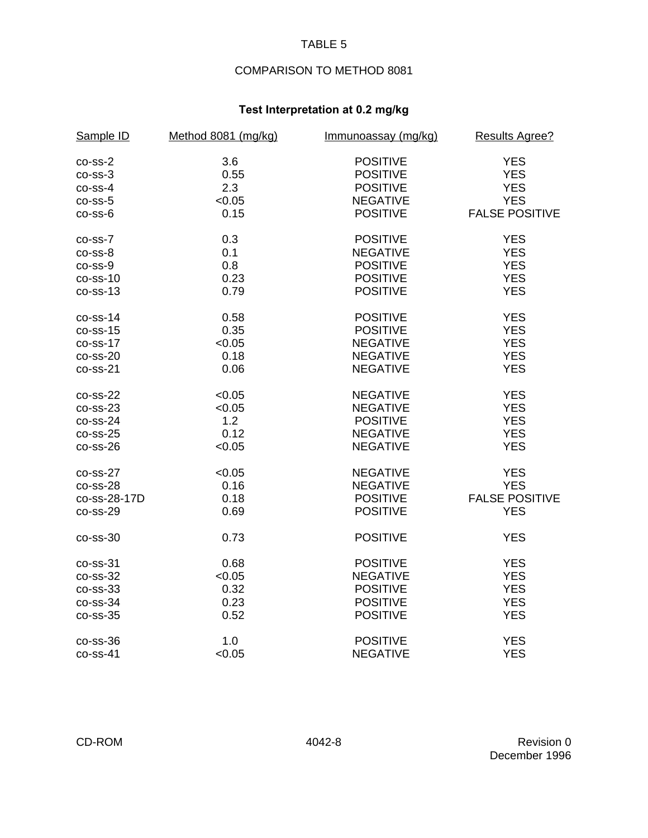# COMPARISON TO METHOD 8081

## **Test Interpretation at 0.2 mg/kg**

| Sample ID    | Method 8081 (mg/kg) | Immunoassay (mg/kg) | <b>Results Agree?</b> |
|--------------|---------------------|---------------------|-----------------------|
| $co-ss-2$    | 3.6                 | <b>POSITIVE</b>     | <b>YES</b>            |
| $co-ss-3$    | 0.55                | <b>POSITIVE</b>     | <b>YES</b>            |
| $co-ss-4$    | 2.3                 | <b>POSITIVE</b>     | <b>YES</b>            |
| $co-ss-5$    | < 0.05              | <b>NEGATIVE</b>     | <b>YES</b>            |
| $co-ss-6$    | 0.15                | <b>POSITIVE</b>     | <b>FALSE POSITIVE</b> |
| $co-ss-7$    | 0.3                 | <b>POSITIVE</b>     | <b>YES</b>            |
| $co-ss-8$    | 0.1                 | <b>NEGATIVE</b>     | <b>YES</b>            |
| $co-ss-9$    | 0.8                 | <b>POSITIVE</b>     | <b>YES</b>            |
| $co-ss-10$   | 0.23                | <b>POSITIVE</b>     | <b>YES</b>            |
| $co-ss-13$   | 0.79                | <b>POSITIVE</b>     | <b>YES</b>            |
| $co-ss-14$   | 0.58                | <b>POSITIVE</b>     | <b>YES</b>            |
| $co-ss-15$   | 0.35                | <b>POSITIVE</b>     | <b>YES</b>            |
| $co-ss-17$   | < 0.05              | <b>NEGATIVE</b>     | <b>YES</b>            |
| $co-ss-20$   | 0.18                | <b>NEGATIVE</b>     | <b>YES</b>            |
| $co-ss-21$   | 0.06                | <b>NEGATIVE</b>     | <b>YES</b>            |
| $co-ss-22$   | < 0.05              | <b>NEGATIVE</b>     | <b>YES</b>            |
| $co-ss-23$   | < 0.05              | <b>NEGATIVE</b>     | <b>YES</b>            |
| $co-ss-24$   | 1.2                 | <b>POSITIVE</b>     | <b>YES</b>            |
| $co-ss-25$   | 0.12                | <b>NEGATIVE</b>     | <b>YES</b>            |
| $co-ss-26$   | < 0.05              | <b>NEGATIVE</b>     | <b>YES</b>            |
| $co-ss-27$   | < 0.05              | <b>NEGATIVE</b>     | <b>YES</b>            |
| $co-ss-28$   | 0.16                | <b>NEGATIVE</b>     | <b>YES</b>            |
| co-ss-28-17D | 0.18                | <b>POSITIVE</b>     | <b>FALSE POSITIVE</b> |
| $co-ss-29$   | 0.69                | <b>POSITIVE</b>     | <b>YES</b>            |
| $co-ss-30$   | 0.73                | <b>POSITIVE</b>     | <b>YES</b>            |
| $co-ss-31$   | 0.68                | <b>POSITIVE</b>     | <b>YES</b>            |
| $co-ss-32$   | < 0.05              | <b>NEGATIVE</b>     | <b>YES</b>            |
| $co-ss-33$   | 0.32                | <b>POSITIVE</b>     | <b>YES</b>            |
| $co$ -ss-34  | 0.23                | <b>POSITIVE</b>     | <b>YES</b>            |
| $co-ss-35$   | 0.52                | <b>POSITIVE</b>     | <b>YES</b>            |
| $co-ss-36$   | 1.0                 | <b>POSITIVE</b>     | <b>YES</b>            |
| $co-ss-41$   | < 0.05              | <b>NEGATIVE</b>     | <b>YES</b>            |